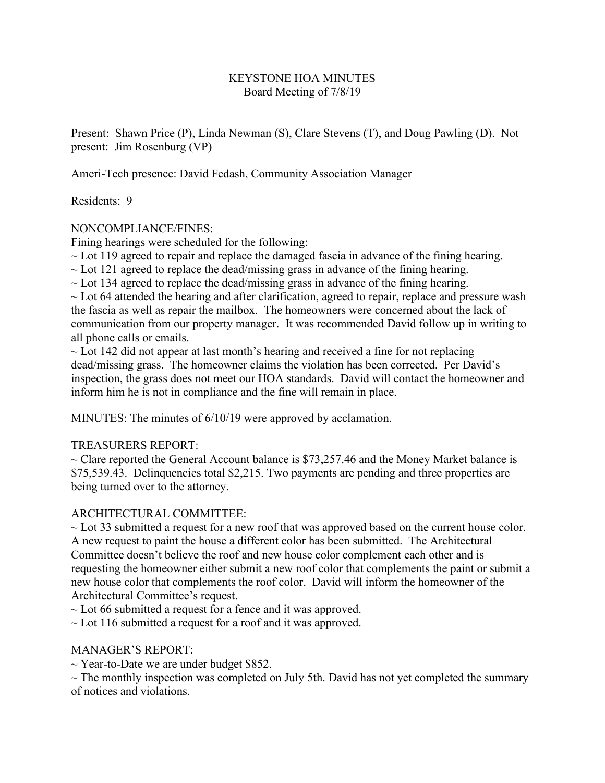## KEYSTONE HOA MINUTES Board Meeting of 7/8/19

Present: Shawn Price (P), Linda Newman (S), Clare Stevens (T), and Doug Pawling (D). Not present: Jim Rosenburg (VP)

Ameri-Tech presence: David Fedash, Community Association Manager

Residents: 9

# NONCOMPLIANCE/FINES:

Fining hearings were scheduled for the following:

 $\sim$  Lot 119 agreed to repair and replace the damaged fascia in advance of the fining hearing.

 $\sim$  Lot 121 agreed to replace the dead/missing grass in advance of the fining hearing.

 $\sim$  Lot 134 agreed to replace the dead/missing grass in advance of the fining hearing.

 $\sim$  Lot 64 attended the hearing and after clarification, agreed to repair, replace and pressure wash the fascia as well as repair the mailbox. The homeowners were concerned about the lack of communication from our property manager. It was recommended David follow up in writing to all phone calls or emails.

 $\sim$  Lot 142 did not appear at last month's hearing and received a fine for not replacing dead/missing grass. The homeowner claims the violation has been corrected. Per David's inspection, the grass does not meet our HOA standards. David will contact the homeowner and inform him he is not in compliance and the fine will remain in place.

MINUTES: The minutes of 6/10/19 were approved by acclamation.

# TREASURERS REPORT:

 $\sim$  Clare reported the General Account balance is \$73,257.46 and the Money Market balance is \$75,539.43. Delinquencies total \$2,215. Two payments are pending and three properties are being turned over to the attorney.

# ARCHITECTURAL COMMITTEE:

 $\sim$  Lot 33 submitted a request for a new roof that was approved based on the current house color. A new request to paint the house a different color has been submitted. The Architectural Committee doesn't believe the roof and new house color complement each other and is requesting the homeowner either submit a new roof color that complements the paint or submit a new house color that complements the roof color. David will inform the homeowner of the Architectural Committee's request.

 $\sim$  Lot 66 submitted a request for a fence and it was approved.

 $\sim$  Lot 116 submitted a request for a roof and it was approved.

# MANAGER'S REPORT:

 $\sim$  Year-to-Date we are under budget \$852.

 $\sim$  The monthly inspection was completed on July 5th. David has not yet completed the summary of notices and violations.